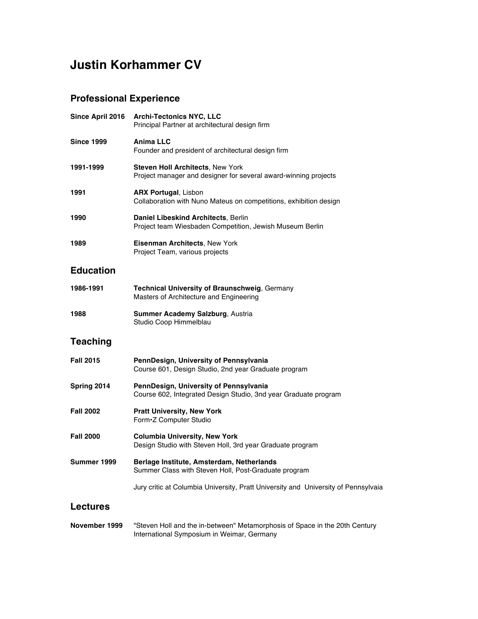# **Justin Korhammer CV**

#### **Professional Experience**

| Since April 2016  | <b>Archi-Tectonics NYC, LLC</b><br>Principal Partner at architectural design firm                         |  |  |
|-------------------|-----------------------------------------------------------------------------------------------------------|--|--|
| <b>Since 1999</b> | Anima LLC<br>Founder and president of architectural design firm                                           |  |  |
| 1991-1999         | Steven Holl Architects, New York<br>Project manager and designer for several award-winning projects       |  |  |
| 1991              | <b>ARX Portugal, Lisbon</b><br>Collaboration with Nuno Mateus on competitions, exhibition design          |  |  |
| 1990              | Daniel Libeskind Architects, Berlin<br>Project team Wiesbaden Competition, Jewish Museum Berlin           |  |  |
| 1989              | <b>Eisenman Architects, New York</b><br>Project Team, various projects                                    |  |  |
| <b>Education</b>  |                                                                                                           |  |  |
| 1986-1991         | Technical University of Braunschweig, Germany<br>Masters of Architecture and Engineering                  |  |  |
| 1988              | Summer Academy Salzburg, Austria<br>Studio Coop Himmelblau                                                |  |  |
| Teaching          |                                                                                                           |  |  |
| <b>Fall 2015</b>  | PennDesign, University of Pennsylvania<br>Course 601, Design Studio, 2nd year Graduate program            |  |  |
| Spring 2014       | PennDesign, University of Pennsylvania<br>Course 602, Integrated Design Studio, 3nd year Graduate program |  |  |
| <b>Fall 2002</b>  | <b>Pratt University, New York</b><br>Form•Z Computer Studio                                               |  |  |
| <b>Fall 2000</b>  | <b>Columbia University, New York</b><br>Design Studio with Steven Holl, 3rd year Graduate program         |  |  |
| Summer 1999       | Berlage Institute, Amsterdam, Netherlands<br>Summer Class with Steven Holl, Post-Graduate program         |  |  |
|                   | Jury critic at Columbia University, Pratt University and University of Pennsylvaia                        |  |  |
| <b>Lectures</b>   |                                                                                                           |  |  |
|                   |                                                                                                           |  |  |

**November 1999** "Steven Holl and the in-between" Metamorphosis of Space in the 20th Century International Symposium in Weimar, Germany